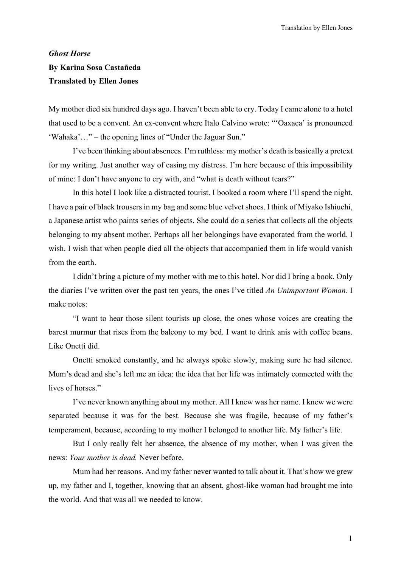## *Ghost Horse* **By Karina Sosa Castañeda Translated by Ellen Jones**

My mother died six hundred days ago. I haven't been able to cry. Today I came alone to a hotel that used to be a convent. An ex-convent where Italo Calvino wrote: "'Oaxaca' is pronounced 'Wahaka'…" – the opening lines of "Under the Jaguar Sun*.*"

I've been thinking about absences. I'm ruthless: my mother's death is basically a pretext for my writing. Just another way of easing my distress. I'm here because of this impossibility of mine: I don't have anyone to cry with, and "what is death without tears?"

In this hotel I look like a distracted tourist. I booked a room where I'll spend the night. I have a pair of black trousers in my bag and some blue velvet shoes. I think of Miyako Ishiuchi, a Japanese artist who paints series of objects. She could do a series that collects all the objects belonging to my absent mother. Perhaps all her belongings have evaporated from the world. I wish. I wish that when people died all the objects that accompanied them in life would vanish from the earth.

I didn't bring a picture of my mother with me to this hotel. Nor did I bring a book. Only the diaries I've written over the past ten years, the ones I've titled *An Unimportant Woman.* I make notes:

"I want to hear those silent tourists up close, the ones whose voices are creating the barest murmur that rises from the balcony to my bed. I want to drink anis with coffee beans. Like Onetti did.

Onetti smoked constantly, and he always spoke slowly, making sure he had silence. Mum's dead and she's left me an idea: the idea that her life was intimately connected with the lives of horses."

I've never known anything about my mother. All I knew was her name. I knew we were separated because it was for the best. Because she was fragile, because of my father's temperament, because, according to my mother I belonged to another life. My father's life.

But I only really felt her absence, the absence of my mother, when I was given the news: *Your mother is dead.* Never before.

Mum had her reasons. And my father never wanted to talk about it. That's how we grew up, my father and I, together, knowing that an absent, ghost-like woman had brought me into the world. And that was all we needed to know.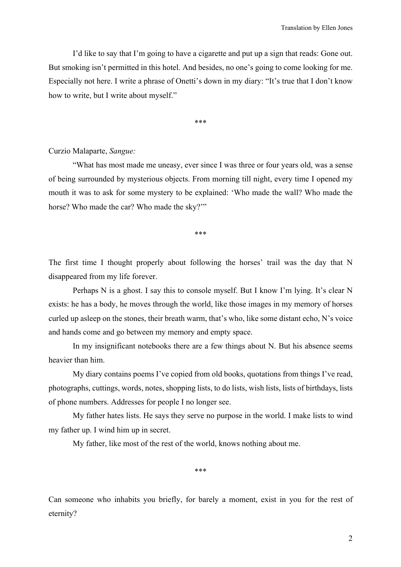I'd like to say that I'm going to have a cigarette and put up a sign that reads: Gone out. But smoking isn't permitted in this hotel. And besides, no one's going to come looking for me. Especially not here. I write a phrase of Onetti's down in my diary: "It's true that I don't know how to write, but I write about myself."

\*\*\*

## Curzio Malaparte, *Sangue:*

"What has most made me uneasy, ever since I was three or four years old, was a sense of being surrounded by mysterious objects. From morning till night, every time I opened my mouth it was to ask for some mystery to be explained: 'Who made the wall? Who made the horse? Who made the car? Who made the sky?""

\*\*\*

The first time I thought properly about following the horses' trail was the day that N disappeared from my life forever.

Perhaps N is a ghost. I say this to console myself. But I know I'm lying. It's clear N exists: he has a body, he moves through the world, like those images in my memory of horses curled up asleep on the stones, their breath warm, that's who, like some distant echo, N's voice and hands come and go between my memory and empty space.

In my insignificant notebooks there are a few things about N. But his absence seems heavier than him.

My diary contains poems I've copied from old books, quotations from things I've read, photographs, cuttings, words, notes, shopping lists, to do lists, wish lists, lists of birthdays, lists of phone numbers. Addresses for people I no longer see.

My father hates lists. He says they serve no purpose in the world. I make lists to wind my father up. I wind him up in secret.

My father, like most of the rest of the world, knows nothing about me.

\*\*\*

Can someone who inhabits you briefly, for barely a moment, exist in you for the rest of eternity?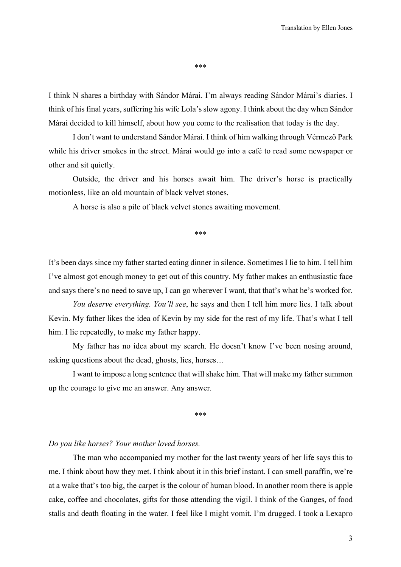\*\*\*

I think N shares a birthday with Sándor Márai. I'm always reading Sándor Márai's diaries. I think of his final years, suffering his wife Lola's slow agony. I think about the day when Sándor Márai decided to kill himself, about how you come to the realisation that today is the day.

I don't want to understand Sándor Márai. I think of him walking through Vérmező Park while his driver smokes in the street. Márai would go into a café to read some newspaper or other and sit quietly.

Outside, the driver and his horses await him. The driver's horse is practically motionless, like an old mountain of black velvet stones.

A horse is also a pile of black velvet stones awaiting movement.

\*\*\*

It's been days since my father started eating dinner in silence. Sometimes I lie to him. I tell him I've almost got enough money to get out of this country. My father makes an enthusiastic face and says there's no need to save up, I can go wherever I want, that that's what he's worked for.

*You deserve everything. You'll see*, he says and then I tell him more lies. I talk about Kevin. My father likes the idea of Kevin by my side for the rest of my life. That's what I tell him. I lie repeatedly, to make my father happy.

My father has no idea about my search. He doesn't know I've been nosing around, asking questions about the dead, ghosts, lies, horses…

I want to impose a long sentence that will shake him. That will make my father summon up the courage to give me an answer. Any answer.

\*\*\*

## *Do you like horses? Your mother loved horses.*

The man who accompanied my mother for the last twenty years of her life says this to me. I think about how they met. I think about it in this brief instant. I can smell paraffin, we're at a wake that's too big, the carpet is the colour of human blood. In another room there is apple cake, coffee and chocolates, gifts for those attending the vigil. I think of the Ganges, of food stalls and death floating in the water. I feel like I might vomit. I'm drugged. I took a Lexapro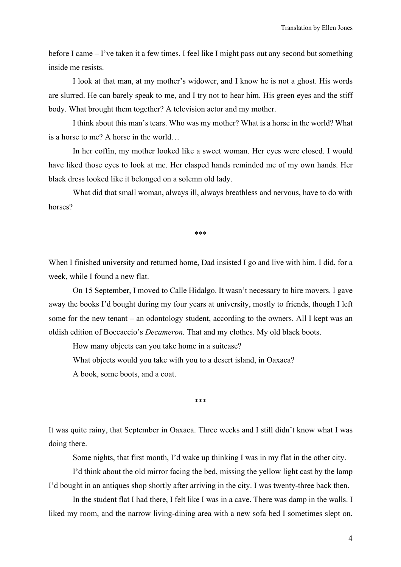before I came – I've taken it a few times. I feel like I might pass out any second but something inside me resists.

I look at that man, at my mother's widower, and I know he is not a ghost. His words are slurred. He can barely speak to me, and I try not to hear him. His green eyes and the stiff body. What brought them together? A television actor and my mother.

I think about this man's tears. Who was my mother? What is a horse in the world? What is a horse to me? A horse in the world…

In her coffin, my mother looked like a sweet woman. Her eyes were closed. I would have liked those eyes to look at me. Her clasped hands reminded me of my own hands. Her black dress looked like it belonged on a solemn old lady.

What did that small woman, always ill, always breathless and nervous, have to do with horses?

\*\*\*

When I finished university and returned home, Dad insisted I go and live with him. I did, for a week, while I found a new flat.

On 15 September, I moved to Calle Hidalgo. It wasn't necessary to hire movers. I gave away the books I'd bought during my four years at university, mostly to friends, though I left some for the new tenant – an odontology student, according to the owners. All I kept was an oldish edition of Boccaccio's *Decameron.* That and my clothes. My old black boots.

How many objects can you take home in a suitcase?

What objects would you take with you to a desert island, in Oaxaca?

A book, some boots, and a coat.

\*\*\*

It was quite rainy, that September in Oaxaca. Three weeks and I still didn't know what I was doing there.

Some nights, that first month, I'd wake up thinking I was in my flat in the other city.

I'd think about the old mirror facing the bed, missing the yellow light cast by the lamp I'd bought in an antiques shop shortly after arriving in the city. I was twenty-three back then.

In the student flat I had there, I felt like I was in a cave. There was damp in the walls. I liked my room, and the narrow living-dining area with a new sofa bed I sometimes slept on.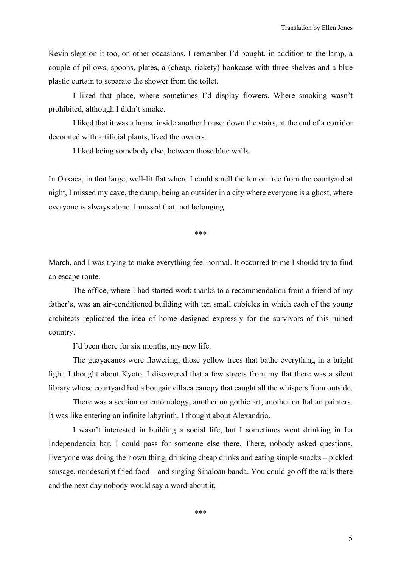Kevin slept on it too, on other occasions. I remember I'd bought, in addition to the lamp, a couple of pillows, spoons, plates, a (cheap, rickety) bookcase with three shelves and a blue plastic curtain to separate the shower from the toilet.

I liked that place, where sometimes I'd display flowers. Where smoking wasn't prohibited, although I didn't smoke.

I liked that it was a house inside another house: down the stairs, at the end of a corridor decorated with artificial plants, lived the owners.

I liked being somebody else, between those blue walls.

In Oaxaca, in that large, well-lit flat where I could smell the lemon tree from the courtyard at night, I missed my cave, the damp, being an outsider in a city where everyone is a ghost, where everyone is always alone. I missed that: not belonging.

\*\*\*

March, and I was trying to make everything feel normal. It occurred to me I should try to find an escape route.

The office, where I had started work thanks to a recommendation from a friend of my father's, was an air-conditioned building with ten small cubicles in which each of the young architects replicated the idea of home designed expressly for the survivors of this ruined country.

I'd been there for six months, my new life.

The guayacanes were flowering, those yellow trees that bathe everything in a bright light. I thought about Kyoto. I discovered that a few streets from my flat there was a silent library whose courtyard had a bougainvillaea canopy that caught all the whispers from outside.

There was a section on entomology, another on gothic art, another on Italian painters. It was like entering an infinite labyrinth. I thought about Alexandria.

I wasn't interested in building a social life, but I sometimes went drinking in La Independencia bar. I could pass for someone else there. There, nobody asked questions. Everyone was doing their own thing, drinking cheap drinks and eating simple snacks – pickled sausage, nondescript fried food – and singing Sinaloan banda. You could go off the rails there and the next day nobody would say a word about it.